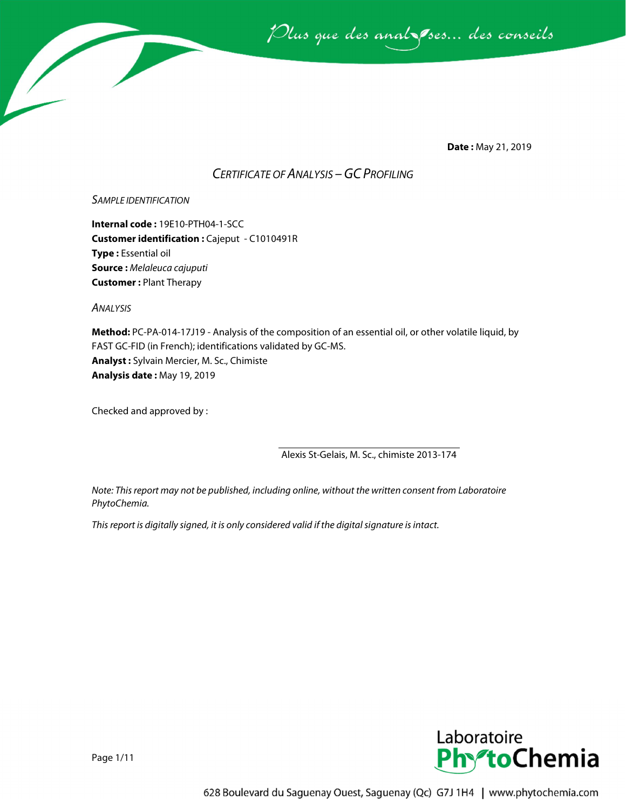

**Date :** May 21, 2019

# *CERTIFICATE OF ANALYSIS –GC PROFILING*

## *SAMPLE IDENTIFICATION*

**Internal code :** 19E10-PTH04-1-SCC **Customer identification :** Cajeput - C1010491R **Type :** Essential oil **Source :** *Melaleuca cajuputi* **Customer :** Plant Therapy

*ANALYSIS*

**Method:** PC-PA-014-17J19 - Analysis of the composition of an essential oil, or other volatile liquid, by FAST GC-FID (in French); identifications validated by GC-MS. **Analyst :** Sylvain Mercier, M. Sc., Chimiste **Analysis date :** May 19, 2019

Checked and approved by :

Alexis St-Gelais, M. Sc., chimiste 2013-174

*Note: This report may not be published, including online, without the written consent from Laboratoire PhytoChemia.*

*This report is digitally signed, it is only considered valid if the digital signature is intact.*



Page 1/11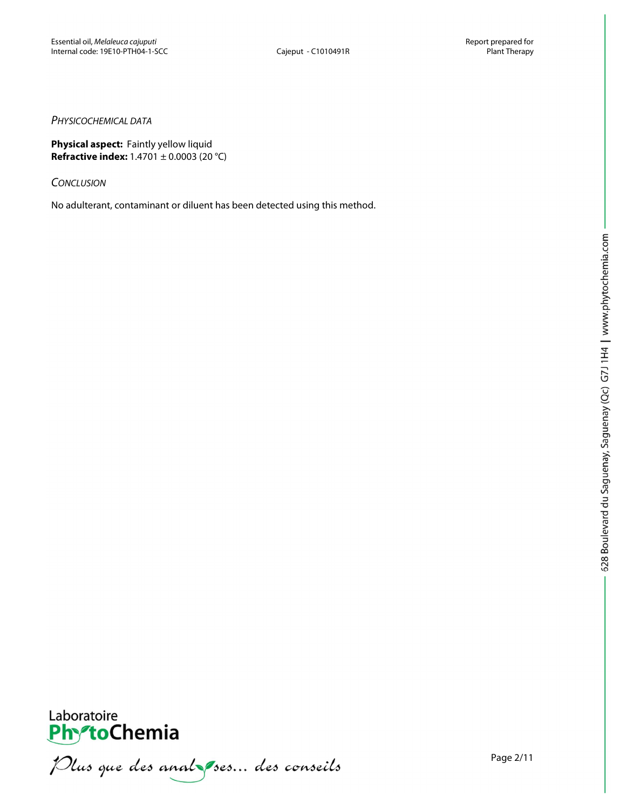## *PHYSICOCHEMICAL DATA*

**Physical aspect:** Faintly yellow liquid **Refractive index:** 1.4701 ± 0.0003 (20 °C)

*CONCLUSION*

No adulterant, contaminant or diluent has been detected using this method.



Laboratoire<br>PhytoChemia<br>*Plus que des analyses... des conseils*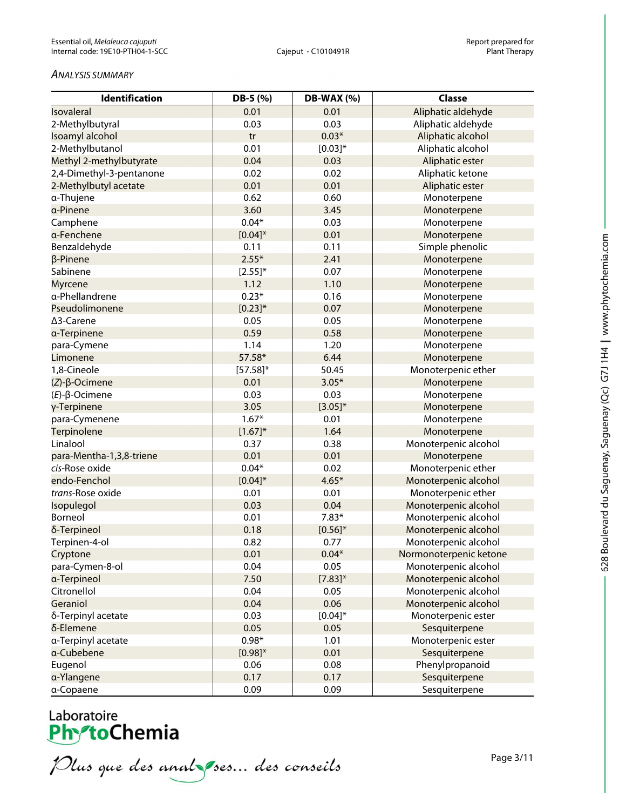### *ANALYSIS SUMMARY*

| <b>Identification</b>    | DB-5 (%)     | DB-WAX (%)   | <b>Classe</b>          |
|--------------------------|--------------|--------------|------------------------|
| Isovaleral               | 0.01         | 0.01         | Aliphatic aldehyde     |
| 2-Methylbutyral          | 0.03         | 0.03         | Aliphatic aldehyde     |
| Isoamyl alcohol          | tr           | $0.03*$      | Aliphatic alcohol      |
| 2-Methylbutanol          | 0.01         | $[0.03]*$    | Aliphatic alcohol      |
| Methyl 2-methylbutyrate  | 0.04         | 0.03         | Aliphatic ester        |
| 2,4-Dimethyl-3-pentanone | 0.02         | 0.02         | Aliphatic ketone       |
| 2-Methylbutyl acetate    | 0.01         | 0.01         | Aliphatic ester        |
| a-Thujene                | 0.62         | 0.60         | Monoterpene            |
| a-Pinene                 | 3.60         | 3.45         | Monoterpene            |
| Camphene                 | $0.04*$      | 0.03         | Monoterpene            |
| a-Fenchene               | $[0.04]*$    | 0.01         | Monoterpene            |
| Benzaldehyde             | 0.11         | 0.11         | Simple phenolic        |
| β-Pinene                 | $2.55*$      | 2.41         | Monoterpene            |
| Sabinene                 | $[2.55]^{*}$ | 0.07         | Monoterpene            |
| <b>Myrcene</b>           | 1.12         | 1.10         | Monoterpene            |
| a-Phellandrene           | $0.23*$      | 0.16         | Monoterpene            |
| Pseudolimonene           | $[0.23]$ *   | 0.07         | Monoterpene            |
| ∆3-Carene                | 0.05         | 0.05         | Monoterpene            |
| a-Terpinene              | 0.59         | 0.58         | Monoterpene            |
| para-Cymene              | 1.14         | 1.20         | Monoterpene            |
| Limonene                 | 57.58*       | 6.44         | Monoterpene            |
| 1,8-Cineole              | $[57.58]$ *  | 50.45        | Monoterpenic ether     |
| $(Z)$ - $\beta$ -Ocimene | 0.01         | $3.05*$      | Monoterpene            |
| $(E)-\beta$ -Ocimene     | 0.03         | 0.03         | Monoterpene            |
| γ-Terpinene              | 3.05         | $[3.05]^{*}$ | Monoterpene            |
| para-Cymenene            | $1.67*$      | 0.01         | Monoterpene            |
| Terpinolene              | $[1.67]^{*}$ | 1.64         | Monoterpene            |
| Linalool                 | 0.37         | 0.38         | Monoterpenic alcohol   |
| para-Mentha-1,3,8-triene | 0.01         | 0.01         | Monoterpene            |
| cis-Rose oxide           | $0.04*$      | 0.02         | Monoterpenic ether     |
| endo-Fenchol             | $[0.04]*$    | $4.65*$      | Monoterpenic alcohol   |
| trans-Rose oxide         | 0.01         | 0.01         | Monoterpenic ether     |
| Isopulegol               | 0.03         | 0.04         | Monoterpenic alcohol   |
| Borneol                  | 0.01         | $7.83*$      | Monoterpenic alcohol   |
| δ-Terpineol              | 0.18         | $[0.56]$ *   | Monoterpenic alcohol   |
| Terpinen-4-ol            | 0.82         | 0.77         | Monoterpenic alcohol   |
| Cryptone                 | 0.01         | $0.04*$      | Normonoterpenic ketone |
| para-Cymen-8-ol          | 0.04         | 0.05         | Monoterpenic alcohol   |
| a-Terpineol              | 7.50         | $[7.83]^{*}$ | Monoterpenic alcohol   |
| Citronellol              | 0.04         | 0.05         | Monoterpenic alcohol   |
| Geraniol                 | 0.04         | 0.06         | Monoterpenic alcohol   |
| δ-Terpinyl acetate       | 0.03         | $[0.04]*$    | Monoterpenic ester     |
| δ-Elemene                | 0.05         | 0.05         | Sesquiterpene          |
| a-Terpinyl acetate       | $0.98*$      | 1.01         | Monoterpenic ester     |
| a-Cubebene               | $[0.98]^{*}$ | 0.01         | Sesquiterpene          |
| Eugenol                  | 0.06         | 0.08         | Phenylpropanoid        |
| a-Ylangene               | 0.17         | 0.17         | Sesquiterpene          |
| a-Copaene                | 0.09         | 0.09         | Sesquiterpene          |

Plus que des analzes... des conseils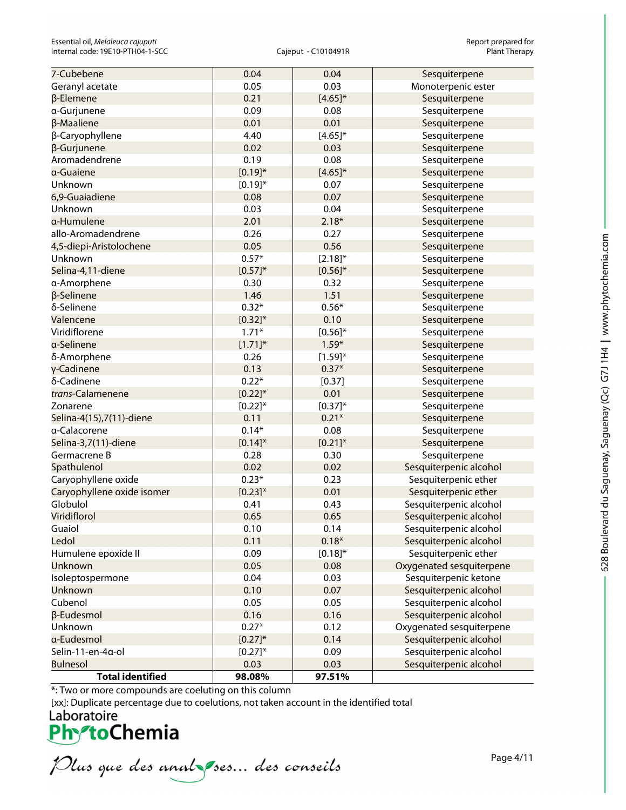| 7-Cubebene                 | 0.04         | 0.04         | Sesquiterpene            |
|----------------------------|--------------|--------------|--------------------------|
| Geranyl acetate            | 0.05         | 0.03         | Monoterpenic ester       |
| β-Elemene                  | 0.21         | $[4.65]$ *   | Sesquiterpene            |
| a-Gurjunene                | 0.09         | 0.08         | Sesquiterpene            |
| β-Maaliene                 | 0.01         | 0.01         | Sesquiterpene            |
| β-Caryophyllene            | 4.40         | $[4.65]^{*}$ | Sesquiterpene            |
| β-Gurjunene                | 0.02         | 0.03         | Sesquiterpene            |
| Aromadendrene              | 0.19         | 0.08         | Sesquiterpene            |
| a-Guaiene                  | $[0.19]^{*}$ | $[4.65]$ *   | Sesquiterpene            |
| Unknown                    | $[0.19]^{*}$ | 0.07         | Sesquiterpene            |
| 6,9-Guaiadiene             | 0.08         | 0.07         | Sesquiterpene            |
| Unknown                    | 0.03         | 0.04         | Sesquiterpene            |
| α-Humulene                 | 2.01         | $2.18*$      | Sesquiterpene            |
| allo-Aromadendrene         | 0.26         | 0.27         | Sesquiterpene            |
| 4,5-diepi-Aristolochene    | 0.05         | 0.56         | Sesquiterpene            |
| Unknown                    | $0.57*$      | $[2.18]^{*}$ | Sesquiterpene            |
| Selina-4,11-diene          | $[0.57]^{*}$ | $[0.56]$ *   | Sesquiterpene            |
| a-Amorphene                | 0.30         | 0.32         | Sesquiterpene            |
| β-Selinene                 | 1.46         | 1.51         | Sesquiterpene            |
| δ-Selinene                 | $0.32*$      | $0.56*$      | Sesquiterpene            |
| Valencene                  | $[0.32]$ *   | 0.10         | Sesquiterpene            |
| Viridiflorene              | $1.71*$      | $[0.56]^{*}$ | Sesquiterpene            |
| a-Selinene                 | $[1.71]$ *   | $1.59*$      | Sesquiterpene            |
| δ-Amorphene                | 0.26         | $[1.59]^{*}$ | Sesquiterpene            |
| γ-Cadinene                 | 0.13         | $0.37*$      | Sesquiterpene            |
| δ-Cadinene                 | $0.22*$      | [0.37]       | Sesquiterpene            |
| trans-Calamenene           | $[0.22]$ *   | 0.01         | Sesquiterpene            |
| Zonarene                   | $[0.22]$ *   | $[0.37]^{*}$ | Sesquiterpene            |
| Selina-4(15),7(11)-diene   | 0.11         | $0.21*$      | Sesquiterpene            |
| a-Calacorene               | $0.14*$      | 0.08         | Sesquiterpene            |
| Selina-3,7(11)-diene       | $[0.14]$ *   | $[0.21]$ *   | Sesquiterpene            |
| Germacrene B               | 0.28         | 0.30         | Sesquiterpene            |
| Spathulenol                | 0.02         | 0.02         | Sesquiterpenic alcohol   |
| Caryophyllene oxide        | $0.23*$      | 0.23         | Sesquiterpenic ether     |
| Caryophyllene oxide isomer | $[0.23]$ *   | 0.01         | Sesquiterpenic ether     |
| Globulol                   | 0.41         | 0.43         | Sesquiterpenic alcohol   |
| Viridiflorol               | 0.65         | 0.65         | Sesquiterpenic alcohol   |
| Guaiol                     | 0.10         | 0.14         | Sesquiterpenic alcohol   |
| Ledol                      | 0.11         | $0.18*$      | Sesquiterpenic alcohol   |
| Humulene epoxide II        | 0.09         | $[0.18]^{*}$ | Sesquiterpenic ether     |
| Unknown                    | 0.05         | 0.08         | Oxygenated sesquiterpene |
| Isoleptospermone           | 0.04         | 0.03         | Sesquiterpenic ketone    |
| Unknown                    | 0.10         | 0.07         | Sesquiterpenic alcohol   |
| Cubenol                    | 0.05         | 0.05         | Sesquiterpenic alcohol   |
| β-Eudesmol                 | 0.16         | 0.16         | Sesquiterpenic alcohol   |
| Unknown                    | $0.27*$      | 0.12         | Oxygenated sesquiterpene |
| a-Eudesmol                 | $[0.27]$ *   | 0.14         | Sesquiterpenic alcohol   |
| Selin-11-en-4a-ol          | $[0.27]^{*}$ | 0.09         | Sesquiterpenic alcohol   |
| <b>Bulnesol</b>            | 0.03         | 0.03         | Sesquiterpenic alcohol   |
| <b>Total identified</b>    | 98.08%       | 97.51%       |                          |

628 Boulevard du Saguenay, Saguenay (Qc) G7J 1H4 | www.phytochemia.com

\*: Two or more compounds are coeluting on this column

[xx]: Duplicate percentage due to coelutions, not taken account in the identified total<br>
Laboratoire<br> **PhytoChemia** 

Plus que des analzes... des conseils

Page 4/11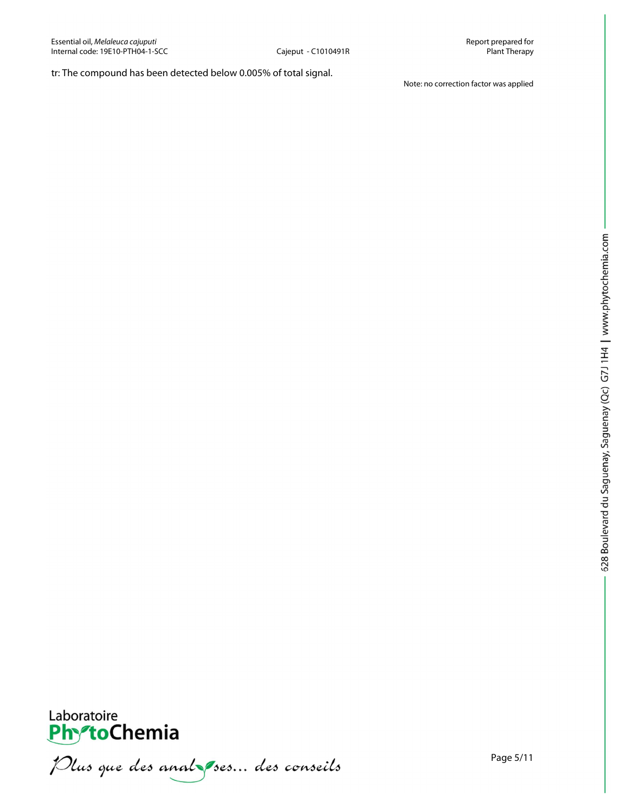# tr: The compound has been detected below 0.005% of total signal.

Note: no correction factor was applied



Laboratoire<br>PhytoChemia<br>*Plus que des analyses*... *des conseils*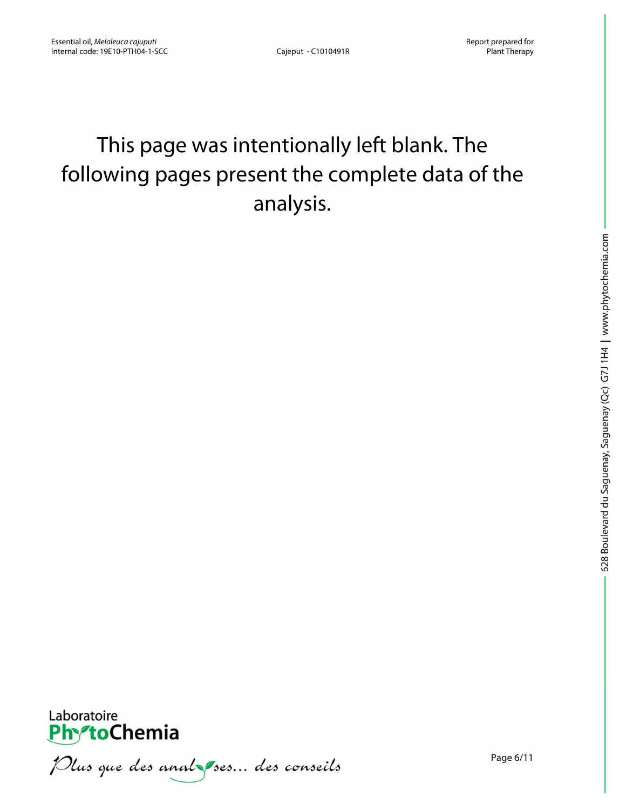# This page was intentionally left blank. The following pages present the complete data of the analysis.



Plus que des anal ses... des conseils

Page 6/11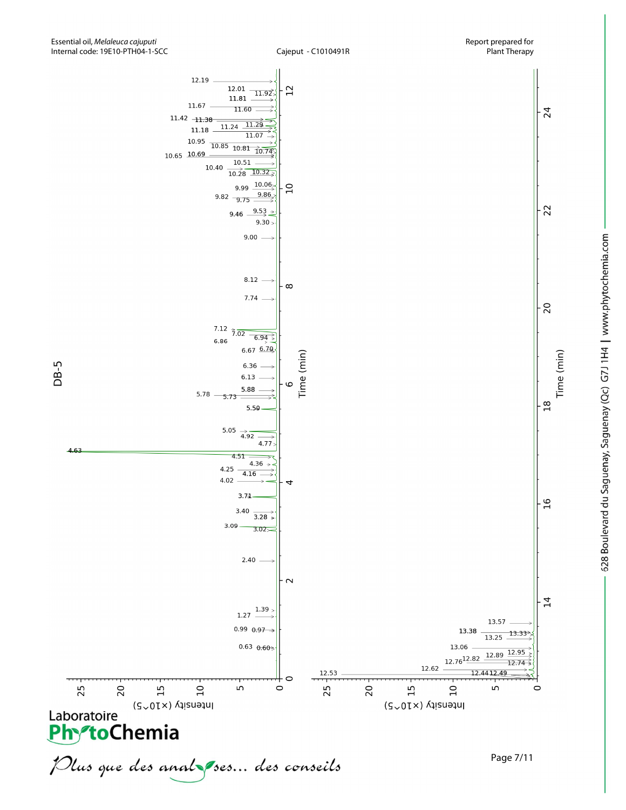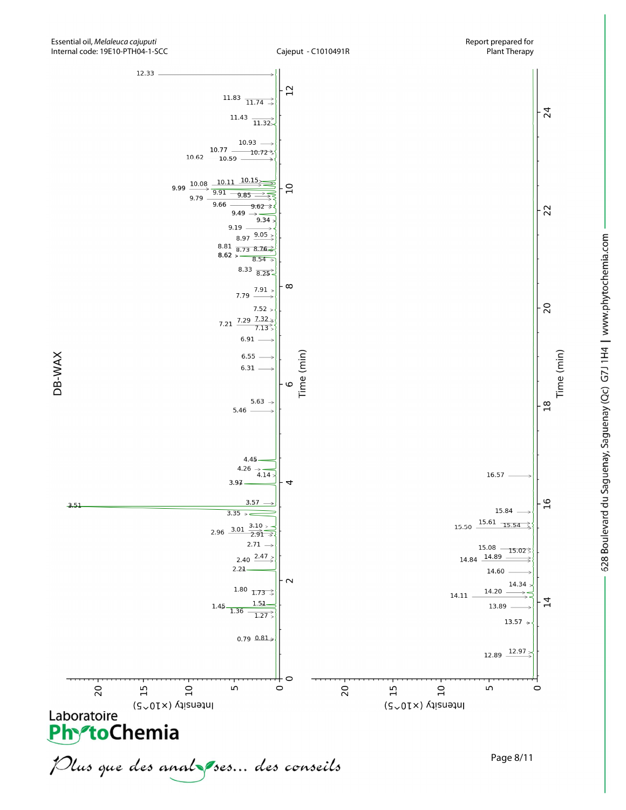

Time (min)

DB-WAX

 $3,51$ 

20

Laboratoire (SvOTX) A

 $15$ 



 $\overline{10}$ 

Intensity (x10<sup>~5</sup>)

2.40  $2.47$ 

1.80  $1.73 \rightarrow$ 

 $1.51$ 

 $0.79 0.81$ 

 $1.27$ 

C

20

 $15$ 

 $\circ$ 

 $2.24$ 

LO<sub>1</sub>

1.45  $1.36$ 

Page 8/11

 $14.84$   $14.89$ 

14.11

 $\overline{10}$ 

Intensity (x10<sup>~5</sup>)

14.60

14.20

12.89

LO.

13.89

14.34

13.57  $\rightarrow$ 

12.97

 $\overline{1}$ 

 $\circ$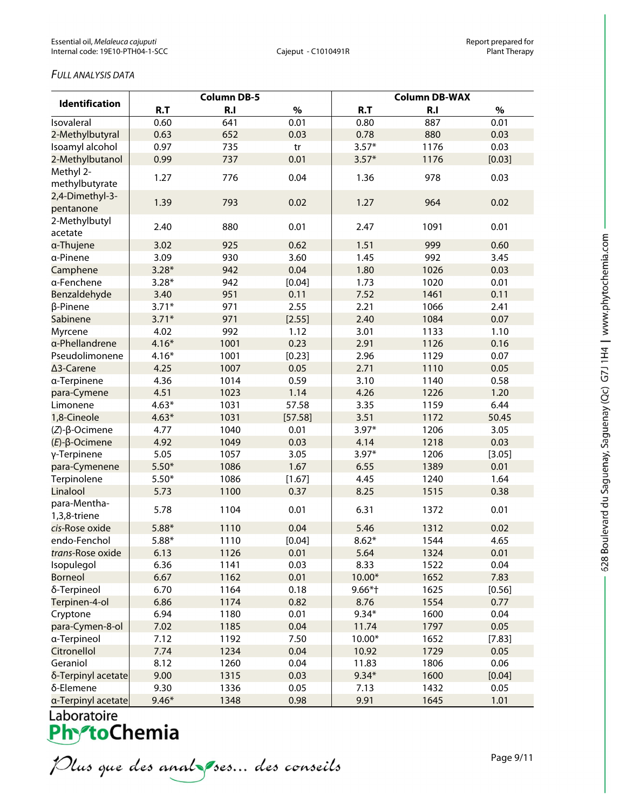# *FULL ANALYSIS DATA*

| <b>Identification</b>        | <b>Column DB-5</b> |        |         | <b>Column DB-WAX</b> |      |        |  |
|------------------------------|--------------------|--------|---------|----------------------|------|--------|--|
|                              | R.T                | R.I    | $\%$    | R.T                  | R.I  | $\%$   |  |
| Isovaleral                   | 0.60               | 641    | 0.01    | 0.80                 | 887  | 0.01   |  |
| 2-Methylbutyral              | 0.63               | 652    | 0.03    | 0.78                 | 880  | 0.03   |  |
| Isoamyl alcohol              | 0.97               | 735    | tr      | $3.57*$              | 1176 | 0.03   |  |
| 2-Methylbutanol              | 0.99               | 737    | 0.01    | $3.57*$              | 1176 | [0.03] |  |
| Methyl 2-<br>methylbutyrate  | 1.27               | 776    | 0.04    | 1.36                 | 978  | 0.03   |  |
| 2,4-Dimethyl-3-<br>pentanone | 1.39               | 793    | 0.02    | 1.27                 | 964  | 0.02   |  |
| 2-Methylbutyl<br>acetate     | 2.40               | 880    | 0.01    | 2.47                 | 1091 | 0.01   |  |
| a-Thujene                    | 3.02               | 925    | 0.62    | 1.51                 | 999  | 0.60   |  |
| a-Pinene                     | 3.09               | 930    | 3.60    | 1.45                 | 992  | 3.45   |  |
| Camphene                     | $3.28*$            | 942    | 0.04    | 1.80                 | 1026 | 0.03   |  |
| a-Fenchene                   | $3.28*$            | 942    | [0.04]  | 1.73                 | 1020 | 0.01   |  |
| Benzaldehyde                 | 3.40               | 951    | 0.11    | 7.52                 | 1461 | 0.11   |  |
| β-Pinene                     | $3.71*$            | 971    | 2.55    | 2.21                 | 1066 | 2.41   |  |
| Sabinene                     | $3.71*$            | 971    | [2.55]  | 2.40                 | 1084 | 0.07   |  |
| Myrcene                      | 4.02               | 992    | 1.12    | 3.01                 | 1133 | 1.10   |  |
| a-Phellandrene               | $4.16*$            | 1001   | 0.23    | 2.91                 | 1126 | 0.16   |  |
| Pseudolimonene               | $4.16*$            | 1001   | [0.23]  | 2.96                 | 1129 | 0.07   |  |
| ∆3-Carene                    | 4.25               | 1007   | 0.05    | 2.71                 | 1110 | 0.05   |  |
| a-Terpinene                  | 4.36               | 1014   | 0.59    | 3.10                 | 1140 | 0.58   |  |
| para-Cymene                  | 4.51               | 1023   | 1.14    | 4.26                 | 1226 | 1.20   |  |
| Limonene                     | $4.63*$            | 1031   | 57.58   | 3.35                 | 1159 | 6.44   |  |
| 1,8-Cineole                  | $4.63*$            | 1031   | [57.58] | 3.51                 | 1172 | 50.45  |  |
| $(Z)-\beta$ -Ocimene         | 4.77               | 1040   | 0.01    | $3.97*$              | 1206 | 3.05   |  |
| $(E)$ -β-Ocimene             | 4.92               | 1049   | 0.03    | 4.14                 | 1218 | 0.03   |  |
| γ-Terpinene                  | 5.05               | 1057   | 3.05    | $3.97*$              | 1206 | [3.05] |  |
| para-Cymenene                | $5.50*$            | 1086   | 1.67    | 6.55                 | 1389 | 0.01   |  |
| Terpinolene                  | $5.50*$            | 1086   | [1.67]  | 4.45                 | 1240 | 1.64   |  |
| Linalool                     | 5.73               | 1100   | 0.37    | 8.25                 | 1515 | 0.38   |  |
| para-Mentha-<br>1,3,8-triene | 5.78               | 1104   | 0.01    | 6.31                 | 1372 | 0.01   |  |
| cis-Rose oxide               | $5.88*$            | 1110   | 0.04    | 5.46                 | 1312 | 0.02   |  |
| endo-Fenchol                 | $5.88*$            | 1110   | [0.04]  | $8.62*$              | 1544 | 4.65   |  |
| trans-Rose oxide             | 6.13               | 1126   | 0.01    | 5.64                 | 1324 | 0.01   |  |
| Isopulegol                   | 6.36               | 1141   | 0.03    | 8.33                 | 1522 | 0.04   |  |
| <b>Borneol</b>               | 6.67               | 1162   | 0.01    | 10.00*               | 1652 | 7.83   |  |
| δ-Terpineol                  | 6.70               | 1164   | 0.18    | $9.66*$ †            | 1625 | [0.56] |  |
| Terpinen-4-ol                | 6.86               | 1174   | 0.82    | 8.76                 | 1554 | 0.77   |  |
| Cryptone                     | 6.94               | 1180   | 0.01    | $9.34*$              | 1600 | 0.04   |  |
| para-Cymen-8-ol              | 7.02               | 1185   | 0.04    | 11.74                | 1797 | 0.05   |  |
| a-Terpineol                  | 7.12               | 1192   | 7.50    | 10.00*               | 1652 | [7.83] |  |
| Citronellol                  | 7.74               | 1234   | 0.04    | 10.92                | 1729 | 0.05   |  |
| Geraniol                     | 8.12               | 1260   | 0.04    | 11.83                | 1806 | 0.06   |  |
| δ-Terpinyl acetate           | 9.00               | 1315   | 0.03    | $9.34*$              | 1600 | [0.04] |  |
| δ-Elemene                    | 9.30               | 1336   | 0.05    | 7.13                 | 1432 | 0.05   |  |
| Torninul acotato             | $0.16*$            | $12A0$ | 0.00    | 0.01                 | 161E | 1.01   |  |

a-Terpinyl acetate 9.46\* 1348 0.98 |<br>Laboratoire<br>**PhYtoChemia**<br>*Plus que des anal ses... des conseils* 

628 Boulevard du Saguenay, Saguenay (Qc) G7J 1H4 | www.phytochemia.com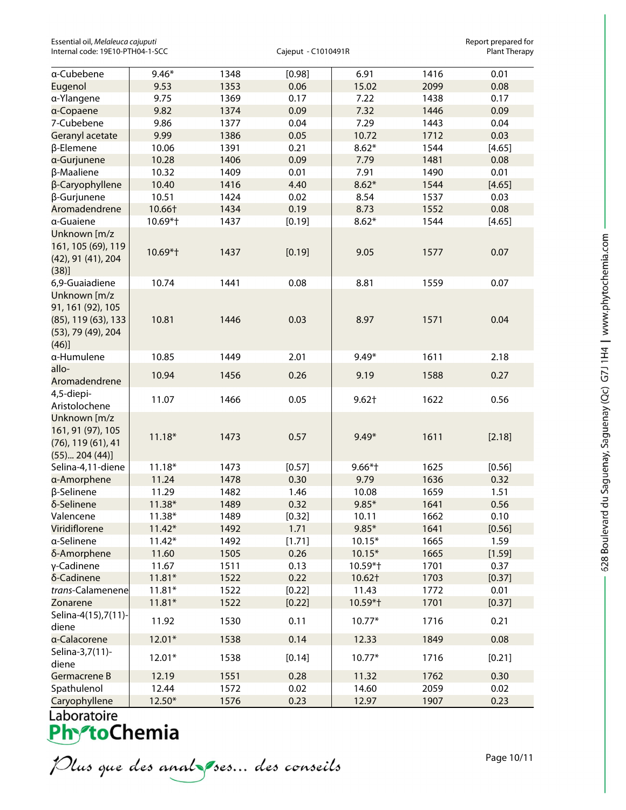| a-Cubebene                                                                              | $9.46*$  | 1348 | [0.98] | 6.91      | 1416 | 0.01   |
|-----------------------------------------------------------------------------------------|----------|------|--------|-----------|------|--------|
| Eugenol                                                                                 | 9.53     | 1353 | 0.06   | 15.02     | 2099 | 0.08   |
| a-Ylangene                                                                              | 9.75     | 1369 | 0.17   | 7.22      | 1438 | 0.17   |
| a-Copaene                                                                               | 9.82     | 1374 | 0.09   | 7.32      | 1446 | 0.09   |
| 7-Cubebene                                                                              | 9.86     | 1377 | 0.04   | 7.29      | 1443 | 0.04   |
| Geranyl acetate                                                                         | 9.99     | 1386 | 0.05   | 10.72     | 1712 | 0.03   |
| β-Elemene                                                                               | 10.06    | 1391 | 0.21   | $8.62*$   | 1544 | [4.65] |
| a-Gurjunene                                                                             | 10.28    | 1406 | 0.09   | 7.79      | 1481 | 0.08   |
| β-Maaliene                                                                              | 10.32    | 1409 | 0.01   | 7.91      | 1490 | 0.01   |
| β-Caryophyllene                                                                         | 10.40    | 1416 | 4.40   | $8.62*$   | 1544 | [4.65] |
| β-Gurjunene                                                                             | 10.51    | 1424 | 0.02   | 8.54      | 1537 | 0.03   |
| Aromadendrene                                                                           | 10.66†   | 1434 | 0.19   | 8.73      | 1552 | 0.08   |
| a-Guaiene                                                                               | 10.69*†  | 1437 | [0.19] | $8.62*$   | 1544 | [4.65] |
| Unknown [m/z<br>161, 105 (69), 119<br>(42), 91 (41), 204<br>(38)]                       | 10.69*†  | 1437 | [0.19] | 9.05      | 1577 | 0.07   |
| 6,9-Guaiadiene                                                                          | 10.74    | 1441 | 0.08   | 8.81      | 1559 | 0.07   |
| Unknown [m/z<br>91, 161 (92), 105<br>(85), 119 (63), 133<br>(53), 79 (49), 204<br>(46)] | 10.81    | 1446 | 0.03   | 8.97      | 1571 | 0.04   |
| a-Humulene                                                                              | 10.85    | 1449 | 2.01   | $9.49*$   | 1611 | 2.18   |
| allo-                                                                                   |          |      |        |           |      |        |
| Aromadendrene                                                                           | 10.94    | 1456 | 0.26   | 9.19      | 1588 | 0.27   |
| 4,5-diepi-<br>Aristolochene                                                             | 11.07    | 1466 | 0.05   | $9.62+$   | 1622 | 0.56   |
| Unknown [m/z<br>161, 91 (97), 105<br>$(76)$ , 119 $(61)$ , 41<br>(55) 204 (44)]         | $11.18*$ | 1473 | 0.57   | $9.49*$   | 1611 | [2.18] |
| Selina-4,11-diene                                                                       | $11.18*$ | 1473 | [0.57] | $9.66*$ † | 1625 | [0.56] |
| a-Amorphene                                                                             | 11.24    | 1478 | 0.30   | 9.79      | 1636 | 0.32   |
| β-Selinene                                                                              | 11.29    | 1482 | 1.46   | 10.08     | 1659 | 1.51   |
| δ-Selinene                                                                              | 11.38*   | 1489 | 0.32   | $9.85*$   | 1641 | 0.56   |
| Valencene                                                                               | $11.38*$ | 1489 | [0.32] | 10.11     | 1662 | 0.10   |
| Viridiflorene                                                                           | $11.42*$ | 1492 | 1.71   | $9.85*$   | 1641 | [0.56] |
| a-Selinene                                                                              | $11.42*$ | 1492 | [1.71] | $10.15*$  | 1665 | 1.59   |
| δ-Amorphene                                                                             | 11.60    | 1505 | 0.26   | $10.15*$  | 1665 | [1.59] |
| γ-Cadinene                                                                              | 11.67    | 1511 | 0.13   | 10.59*†   | 1701 | 0.37   |
| δ-Cadinene                                                                              | $11.81*$ | 1522 | 0.22   | 10.62†    | 1703 | [0.37] |
| trans-Calamenene                                                                        | $11.81*$ | 1522 | [0.22] | 11.43     | 1772 | 0.01   |
| Zonarene                                                                                | $11.81*$ | 1522 | [0.22] | 10.59*+   | 1701 | [0.37] |
| Selina-4(15), 7(11)-<br>diene                                                           | 11.92    | 1530 | 0.11   | $10.77*$  | 1716 | 0.21   |
| a-Calacorene                                                                            | $12.01*$ | 1538 | 0.14   | 12.33     | 1849 | 0.08   |
| Selina-3,7(11)-<br>diene                                                                | $12.01*$ | 1538 | [0.14] | $10.77*$  | 1716 | [0.21] |
| Germacrene B                                                                            | 12.19    | 1551 | 0.28   | 11.32     | 1762 | 0.30   |
| Spathulenol                                                                             | 12.44    | 1572 | 0.02   | 14.60     | 2059 | 0.02   |
| Caryophyllene                                                                           | 12.50*   | 1576 | 0.23   | 12.97     | 1907 | 0.23   |

Plus que des analzes... des conseils